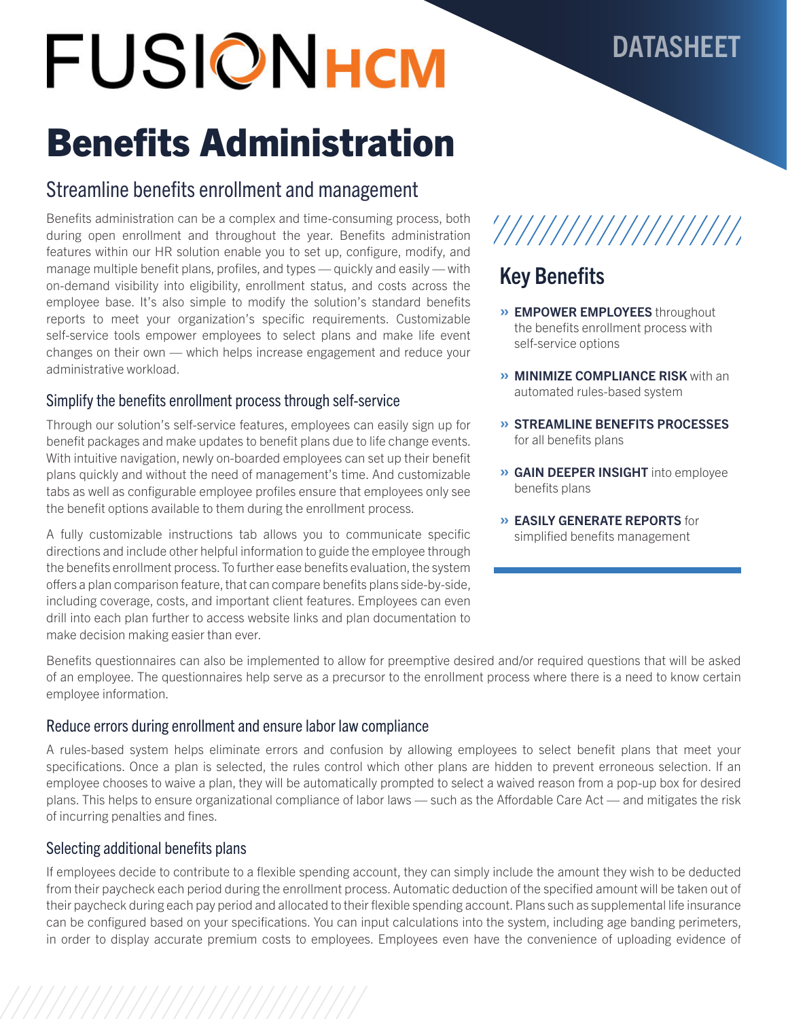# FUSIONHCM

## DATASHEET

# Benefits Administration

### Streamline benefits enrollment and management

Benefits administration can be a complex and time-consuming process, both during open enrollment and throughout the year. Benefits administration features within our HR solution enable you to set up, configure, modify, and manage multiple benefit plans, profiles, and types — quickly and easily — with on-demand visibility into eligibility, enrollment status, and costs across the employee base. It's also simple to modify the solution's standard benefits reports to meet your organization's specific requirements. Customizable self-service tools empower employees to select plans and make life event changes on their own — which helps increase engagement and reduce your administrative workload.

#### Simplify the benefits enrollment process through self-service

Through our solution's self-service features, employees can easily sign up for benefit packages and make updates to benefit plans due to life change events. With intuitive navigation, newly on-boarded employees can set up their benefit plans quickly and without the need of management's time. And customizable tabs as well as configurable employee profiles ensure that employees only see the benefit options available to them during the enrollment process.

A fully customizable instructions tab allows you to communicate specific directions and include other helpful information to guide the employee through the benefits enrollment process. To further ease benefits evaluation, the system offers a plan comparison feature, that can compare benefits plans side-by-side, including coverage, costs, and important client features. Employees can even drill into each plan further to access website links and plan documentation to make decision making easier than ever.

# '///////////////////

## Key Benefits

- » EMPOWER EMPLOYEES throughout the benefits enrollment process with self-service options
- **» MINIMIZE COMPLIANCE RISK** with an automated rules-based system
- » STREAMLINE BENEFITS PROCESSES for all benefits plans
- » GAIN DEEPER INSIGHT into employee benefits plans
- » EASILY GENERATE REPORTS for simplified benefits management

Benefits questionnaires can also be implemented to allow for preemptive desired and/or required questions that will be asked of an employee. The questionnaires help serve as a precursor to the enrollment process where there is a need to know certain employee information.

#### Reduce errors during enrollment and ensure labor law compliance

A rules-based system helps eliminate errors and confusion by allowing employees to select benefit plans that meet your specifications. Once a plan is selected, the rules control which other plans are hidden to prevent erroneous selection. If an employee chooses to waive a plan, they will be automatically prompted to select a waived reason from a pop-up box for desired plans. This helps to ensure organizational compliance of labor laws — such as the Affordable Care Act — and mitigates the risk of incurring penalties and fines.

#### Selecting additional benefits plans

If employees decide to contribute to a flexible spending account, they can simply include the amount they wish to be deducted from their paycheck each period during the enrollment process. Automatic deduction of the specified amount will be taken out of their paycheck during each pay period and allocated to their flexible spending account. Plans such as supplemental life insurance can be configured based on your specifications. You can input calculations into the system, including age banding perimeters, in order to display accurate premium costs to employees. Employees even have the convenience of uploading evidence of